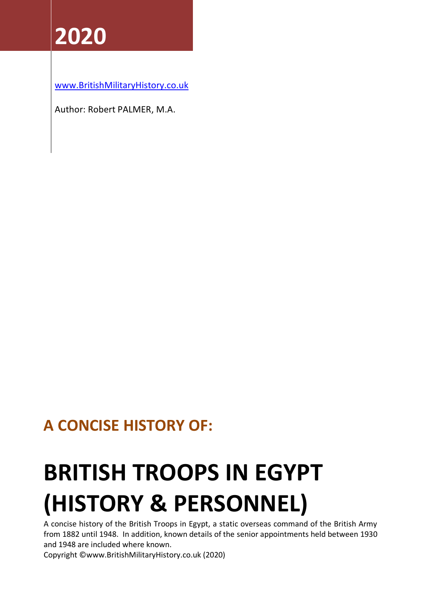# **2020**

[www.BritishMilitaryHistory.co.uk](http://www.britishmilitaryhistory.co.uk/)

Author: Robert PALMER, M.A.

# **A CONCISE HISTORY OF:**

# **BRITISH TROOPS IN EGYPT (HISTORY & PERSONNEL)**

A concise history of the British Troops in Egypt, a static overseas command of the British Army from 1882 until 1948. In addition, known details of the senior appointments held between 1930 and 1948 are included where known.

Copyright ©www.BritishMilitaryHistory.co.uk (2020)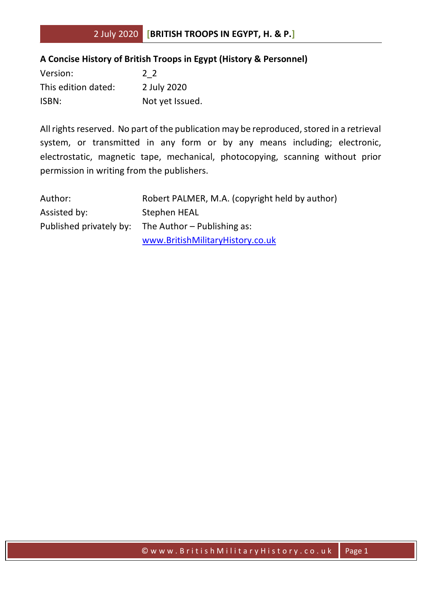## **A Concise History of British Troops in Egypt (History & Personnel)**

| Version:            | 22              |
|---------------------|-----------------|
| This edition dated: | 2 July 2020     |
| ISBN:               | Not yet Issued. |

All rights reserved. No part of the publication may be reproduced, stored in a retrieval system, or transmitted in any form or by any means including; electronic, electrostatic, magnetic tape, mechanical, photocopying, scanning without prior permission in writing from the publishers.

| Author:      | Robert PALMER, M.A. (copyright held by author)      |
|--------------|-----------------------------------------------------|
| Assisted by: | Stephen HEAL                                        |
|              | Published privately by: The Author – Publishing as: |
|              | www.BritishMilitaryHistory.co.uk                    |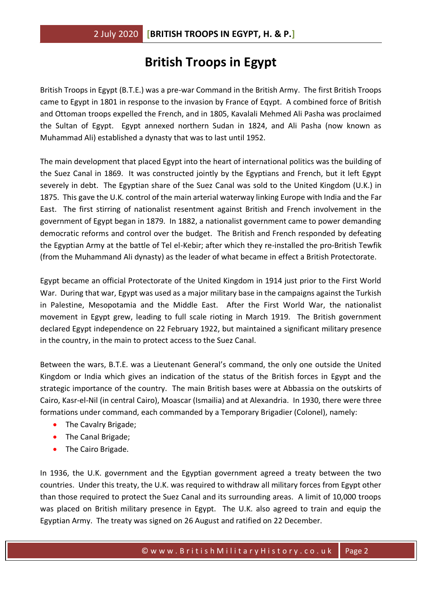# **British Troops in Egypt**

British Troops in Egypt (B.T.E.) was a pre-war Command in the British Army. The first British Troops came to Egypt in 1801 in response to the invasion by France of Eqypt. A combined force of British and Ottoman troops expelled the French, and in 1805, Kavalali Mehmed Ali Pasha was proclaimed the Sultan of Egypt. Egypt annexed northern Sudan in 1824, and Ali Pasha (now known as Muhammad Ali) established a dynasty that was to last until 1952.

The main development that placed Egypt into the heart of international politics was the building of the Suez Canal in 1869. It was constructed jointly by the Egyptians and French, but it left Egypt severely in debt. The Egyptian share of the Suez Canal was sold to the United Kingdom (U.K.) in 1875. This gave the U.K. control of the main arterial waterway linking Europe with India and the Far East. The first stirring of nationalist resentment against British and French involvement in the government of Egypt began in 1879. In 1882, a nationalist government came to power demanding democratic reforms and control over the budget. The British and French responded by defeating the Egyptian Army at the battle of Tel el-Kebir; after which they re-installed the pro-British Tewfik (from the Muhammand Ali dynasty) as the leader of what became in effect a British Protectorate.

Egypt became an official Protectorate of the United Kingdom in 1914 just prior to the First World War. During that war, Egypt was used as a major military base in the campaigns against the Turkish in Palestine, Mesopotamia and the Middle East. After the First World War, the nationalist movement in Egypt grew, leading to full scale rioting in March 1919. The British government declared Egypt independence on 22 February 1922, but maintained a significant military presence in the country, in the main to protect access to the Suez Canal.

Between the wars, B.T.E. was a Lieutenant General's command, the only one outside the United Kingdom or India which gives an indication of the status of the British forces in Egypt and the strategic importance of the country. The main British bases were at Abbassia on the outskirts of Cairo, Kasr-el-Nil (in central Cairo), Moascar (Ismailia) and at Alexandria. In 1930, there were three formations under command, each commanded by a Temporary Brigadier (Colonel), namely:

- The Cavalry Brigade;
- The Canal Brigade;
- The Cairo Brigade.

In 1936, the U.K. government and the Egyptian government agreed a treaty between the two countries. Under this treaty, the U.K. was required to withdraw all military forces from Egypt other than those required to protect the Suez Canal and its surrounding areas. A limit of 10,000 troops was placed on British military presence in Egypt. The U.K. also agreed to train and equip the Egyptian Army. The treaty was signed on 26 August and ratified on 22 December.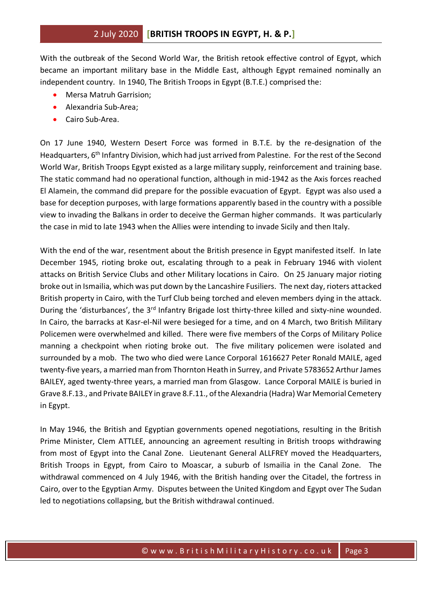With the outbreak of the Second World War, the British retook effective control of Egypt, which became an important military base in the Middle East, although Egypt remained nominally an independent country. In 1940, The British Troops in Egypt (B.T.E.) comprised the:

- Mersa Matruh Garrision;
- Alexandria Sub-Area;
- Cairo Sub-Area.

On 17 June 1940, Western Desert Force was formed in B.T.E. by the re-designation of the Headquarters, 6<sup>th</sup> Infantry Division, which had just arrived from Palestine. For the rest of the Second World War, British Troops Egypt existed as a large military supply, reinforcement and training base. The static command had no operational function, although in mid-1942 as the Axis forces reached El Alamein, the command did prepare for the possible evacuation of Egypt. Egypt was also used a base for deception purposes, with large formations apparently based in the country with a possible view to invading the Balkans in order to deceive the German higher commands. It was particularly the case in mid to late 1943 when the Allies were intending to invade Sicily and then Italy.

With the end of the war, resentment about the British presence in Egypt manifested itself. In late December 1945, rioting broke out, escalating through to a peak in February 1946 with violent attacks on British Service Clubs and other Military locations in Cairo. On 25 January major rioting broke out in Ismailia, which was put down by the Lancashire Fusiliers. The next day, rioters attacked British property in Cairo, with the Turf Club being torched and eleven members dying in the attack. During the 'disturbances', the 3<sup>rd</sup> Infantry Brigade lost thirty-three killed and sixty-nine wounded. In Cairo, the barracks at Kasr-el-Nil were besieged for a time, and on 4 March, two British Military Policemen were overwhelmed and killed. There were five members of the Corps of Military Police manning a checkpoint when rioting broke out. The five military policemen were isolated and surrounded by a mob. The two who died were Lance Corporal 1616627 Peter Ronald MAILE, aged twenty-five years, a married man from Thornton Heath in Surrey, and Private 5783652 Arthur James BAILEY, aged twenty-three years, a married man from Glasgow. Lance Corporal MAILE is buried in Grave 8.F.13., and Private BAILEY in grave 8.F.11., of the Alexandria (Hadra) War Memorial Cemetery in Egypt.

In May 1946, the British and Egyptian governments opened negotiations, resulting in the British Prime Minister, Clem ATTLEE, announcing an agreement resulting in British troops withdrawing from most of Egypt into the Canal Zone. Lieutenant General ALLFREY moved the Headquarters, British Troops in Egypt, from Cairo to Moascar, a suburb of Ismailia in the Canal Zone. The withdrawal commenced on 4 July 1946, with the British handing over the Citadel, the fortress in Cairo, over to the Egyptian Army. Disputes between the United Kingdom and Egypt over The Sudan led to negotiations collapsing, but the British withdrawal continued.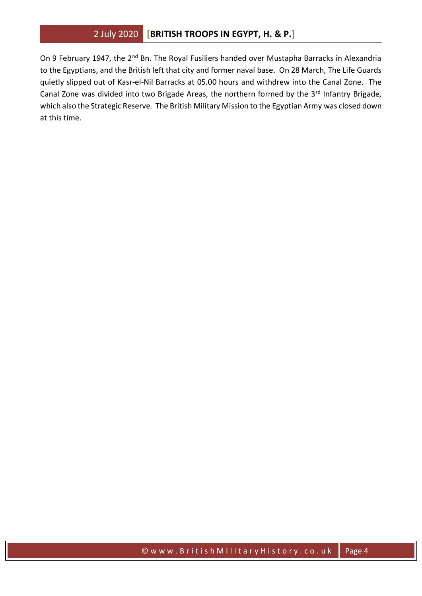On 9 February 1947, the 2<sup>nd</sup> Bn. The Royal Fusiliers handed over Mustapha Barracks in Alexandria to the Egyptians, and the British left that city and former naval base. On 28 March, The Life Guards quietly slipped out of Kasr-el-Nil Barracks at 05.00 hours and withdrew into the Canal Zone. The Canal Zone was divided into two Brigade Areas, the northern formed by the 3<sup>rd</sup> Infantry Brigade, which also the Strategic Reserve. The British Military Mission to the Egyptian Army was closed down at this time.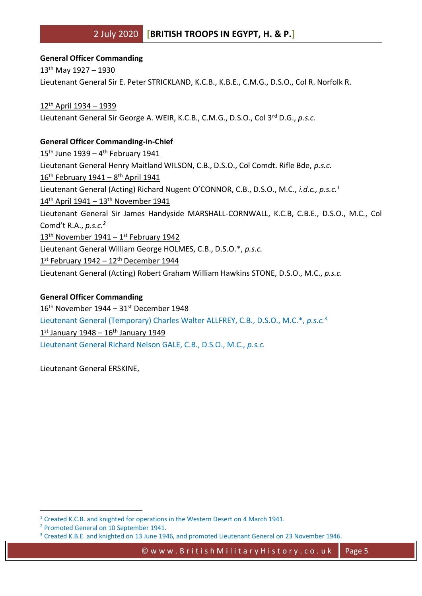**General Officer Commanding** 13th May 1927 – 1930 Lieutenant General Sir E. Peter STRICKLAND, K.C.B., K.B.E., C.M.G., D.S.O., Col R. Norfolk R.

12th April 1934 – 1939 Lieutenant General Sir George A. WEIR, K.C.B., C.M.G., D.S.O., Col 3rd D.G., *p.s.c.*

#### **General Officer Commanding-in-Chief**

15<sup>th</sup> June 1939 – 4<sup>th</sup> February 1941 Lieutenant General Henry Maitland WILSON, C.B., D.S.O., Col Comdt. Rifle Bde, *p.s.c.* 16<sup>th</sup> February 1941 - 8<sup>th</sup> April 1941 Lieutenant General (Acting) Richard Nugent O'CONNOR, C.B., D.S.O., M.C., *i.d.c., p.s.c.<sup>1</sup>* 14<sup>th</sup> April 1941 – 13<sup>th</sup> November 1941 Lieutenant General Sir James Handyside MARSHALL-CORNWALL, K.C.B, C.B.E., D.S.O., M.C., Col Comd't R.A., *p.s.c.<sup>2</sup>* 13<sup>th</sup> November 1941 - 1<sup>st</sup> February 1942 Lieutenant General William George HOLMES, C.B., D.S.O.\*, *p.s.c.* 1st February 1942 – 12<sup>th</sup> December 1944 Lieutenant General (Acting) Robert Graham William Hawkins STONE, D.S.O., M.C., *p.s.c.*

#### **General Officer Commanding**

 $16<sup>th</sup>$  November 1944 – 31st December 1948 Lieutenant General (Temporary) Charles Walter ALLFREY, C.B., D.S.O., M.C.\*, *p.s.c.<sup>3</sup>* 1st January 1948 – 16<sup>th</sup> January 1949 Lieutenant General Richard Nelson GALE, C.B., D.S.O., M.C., *p.s.c.*

Lieutenant General ERSKINE,

<sup>&</sup>lt;sup>1</sup> Created K.C.B. and knighted for operations in the Western Desert on 4 March 1941.

<sup>2</sup> Promoted General on 10 September 1941.

<sup>&</sup>lt;sup>3</sup> Created K.B.E. and knighted on 13 June 1946, and promoted Lieutenant General on 23 November 1946.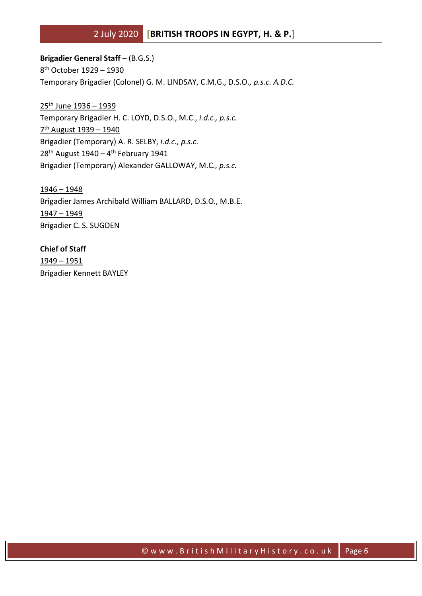**Brigadier General Staff** – (B.G.S.) 8 th October 1929 – 1930 Temporary Brigadier (Colonel) G. M. LINDSAY, C.M.G., D.S.O., *p.s.c. A.D.C.*

25th June 1936 – 1939 Temporary Brigadier H. C. LOYD, D.S.O., M.C., *i.d.c., p.s.c.* 7<sup>th</sup> August 1939 - 1940 Brigadier (Temporary) A. R. SELBY, *i.d.c., p.s.c.* 28<sup>th</sup> August 1940 – 4<sup>th</sup> February 1941 Brigadier (Temporary) Alexander GALLOWAY, M.C., *p.s.c.*

1946 – 1948 Brigadier James Archibald William BALLARD, D.S.O., M.B.E. 1947 – 1949 Brigadier C. S. SUGDEN

**Chief of Staff** 1949 – 1951 Brigadier Kennett BAYLEY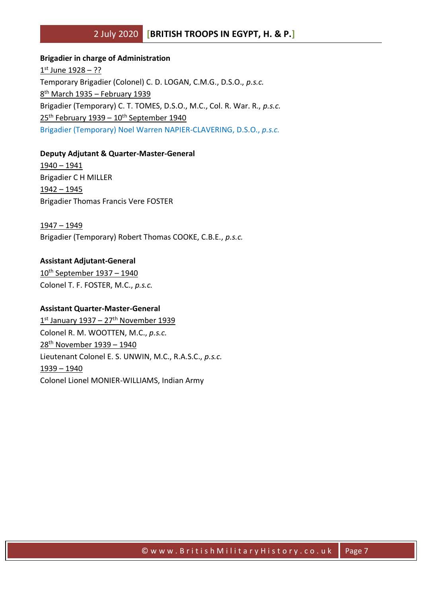# **Brigadier in charge of Administration** <u>1st June 1928 – ??</u> Temporary Brigadier (Colonel) C. D. LOGAN, C.M.G., D.S.O., *p.s.c.* 8<sup>th</sup> March 1935 – February 1939 Brigadier (Temporary) C. T. TOMES, D.S.O., M.C., Col. R. War. R., *p.s.c.*  $25<sup>th</sup>$  February 1939 –  $10<sup>th</sup>$  September 1940 Brigadier (Temporary) Noel Warren NAPIER-CLAVERING, D.S.O., *p.s.c.*

#### **Deputy Adjutant & Quarter-Master-General**

1940 – 1941 Brigadier C H MILLER 1942 – 1945 Brigadier Thomas Francis Vere FOSTER

1947 – 1949 Brigadier (Temporary) Robert Thomas COOKE, C.B.E., *p.s.c.*

#### **Assistant Adjutant-General**

10<sup>th</sup> September 1937 - 1940 Colonel T. F. FOSTER, M.C., *p.s.c.*

#### **Assistant Quarter-Master-General**

1st January 1937 – 27<sup>th</sup> November 1939 Colonel R. M. WOOTTEN, M.C., *p.s.c.* 28th November 1939 – 1940 Lieutenant Colonel E. S. UNWIN, M.C., R.A.S.C., *p.s.c.* 1939 – 1940 Colonel Lionel MONIER-WILLIAMS, Indian Army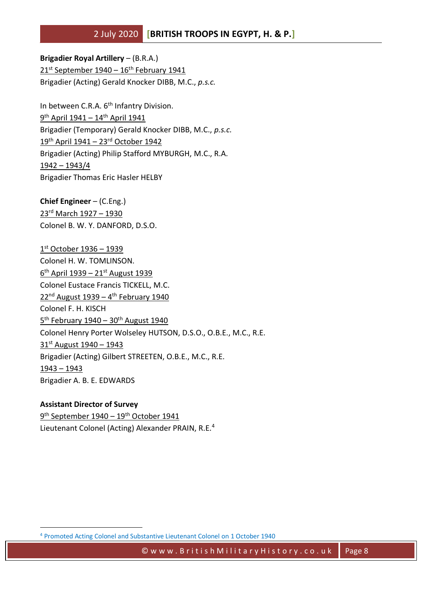**Brigadier Royal Artillery** – (B.R.A.)  $21^{st}$  September 1940 –  $16^{th}$  February 1941 Brigadier (Acting) Gerald Knocker DIBB, M.C., *p.s.c.*

In between C.R.A. 6<sup>th</sup> Infantry Division. <u>9<sup>th</sup> April 1941 – 14<sup>th</sup> April 1941</u> Brigadier (Temporary) Gerald Knocker DIBB, M.C., *p.s.c.* 19th April 1941 – 23rd October 1942 Brigadier (Acting) Philip Stafford MYBURGH, M.C., R.A. 1942 – 1943/4 Brigadier Thomas Eric Hasler HELBY

**Chief Engineer** – (C.Eng.) 23rd March 1927 – 1930 Colonel B. W. Y. DANFORD, D.S.O.

1 st October 1936 – 1939 Colonel H. W. TOMLINSON. 6<sup>th</sup> April 1939 – 21st August 1939 Colonel Eustace Francis TICKELL, M.C. 22<sup>nd</sup> August 1939 – 4<sup>th</sup> February 1940 Colonel F. H. KISCH 5<sup>th</sup> February 1940 – 30<sup>th</sup> August 1940 Colonel Henry Porter Wolseley HUTSON, D.S.O., O.B.E., M.C., R.E. 31st August 1940 – 1943 Brigadier (Acting) Gilbert STREETEN, O.B.E., M.C., R.E. 1943 – 1943 Brigadier A. B. E. EDWARDS

**Assistant Director of Survey** 9 th September 1940 – 19th October 1941 Lieutenant Colonel (Acting) Alexander PRAIN, R.E.<sup>4</sup>

<sup>4</sup> Promoted Acting Colonel and Substantive Lieutenant Colonel on 1 October 1940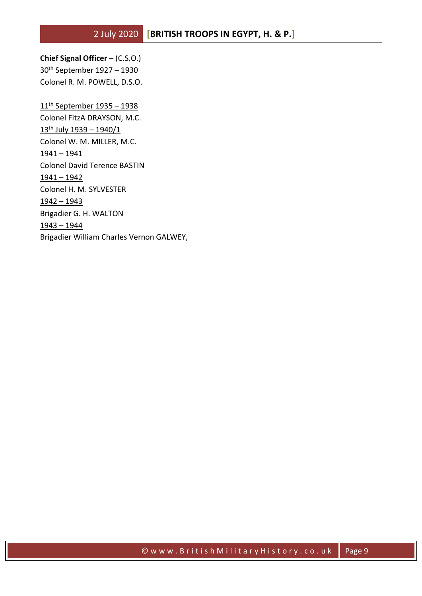**Chief Signal Officer** – (C.S.O.) 30th September 1927 – 1930 Colonel R. M. POWELL, D.S.O.

11th September 1935 – 1938 Colonel FitzA DRAYSON, M.C.  $13^{th}$  July  $1939 - 1940/1$ Colonel W. M. MILLER, M.C. 1941 – 1941 Colonel David Terence BASTIN 1941 – 1942 Colonel H. M. SYLVESTER 1942 – 1943 Brigadier G. H. WALTON 1943 – 1944 Brigadier William Charles Vernon GALWEY,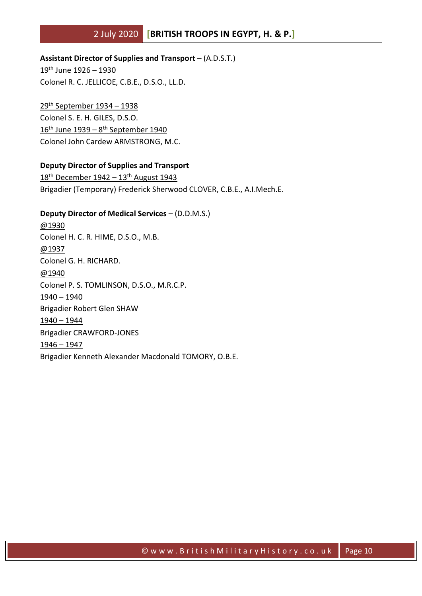**Assistant Director of Supplies and Transport** – (A.D.S.T.)

19th June 1926 – 1930 Colonel R. C. JELLICOE, C.B.E., D.S.O., LL.D.

29th September 1934 – 1938 Colonel S. E. H. GILES, D.S.O. 16<sup>th</sup> June 1939 – 8<sup>th</sup> September 1940 Colonel John Cardew ARMSTRONG, M.C.

#### **Deputy Director of Supplies and Transport**

18th December 1942 – 13th August 1943 Brigadier (Temporary) Frederick Sherwood CLOVER, C.B.E., A.I.Mech.E.

**Deputy Director of Medical Services** – (D.D.M.S.) @1930 Colonel H. C. R. HIME, D.S.O., M.B. @1937 Colonel G. H. RICHARD. @1940 Colonel P. S. TOMLINSON, D.S.O., M.R.C.P. 1940 – 1940 Brigadier Robert Glen SHAW 1940 – 1944 Brigadier CRAWFORD-JONES 1946 – 1947 Brigadier Kenneth Alexander Macdonald TOMORY, O.B.E.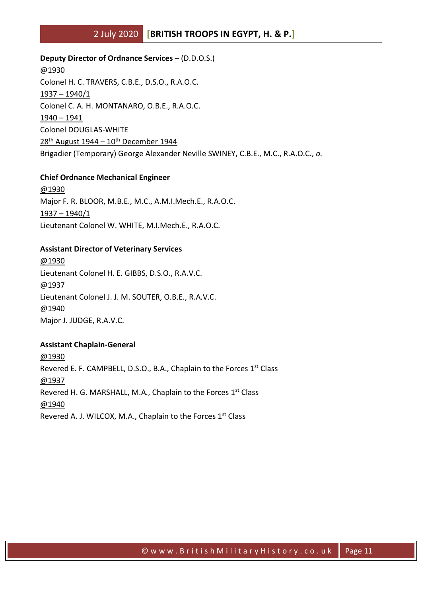**Deputy Director of Ordnance Services** – (D.D.O.S.) @1930 Colonel H. C. TRAVERS, C.B.E., D.S.O., R.A.O.C. 1937 – 1940/1 Colonel C. A. H. MONTANARO, O.B.E., R.A.O.C. 1940 – 1941 Colonel DOUGLAS-WHITE  $28<sup>th</sup>$  August 1944 – 10<sup>th</sup> December 1944 Brigadier (Temporary) George Alexander Neville SWINEY, C.B.E., M.C., R.A.O.C., *o.*

#### **Chief Ordnance Mechanical Engineer**

@1930 Major F. R. BLOOR, M.B.E., M.C., A.M.I.Mech.E., R.A.O.C. 1937 – 1940/1 Lieutenant Colonel W. WHITE, M.I.Mech.E., R.A.O.C.

#### **Assistant Director of Veterinary Services**

@1930 Lieutenant Colonel H. E. GIBBS, D.S.O., R.A.V.C. @1937 Lieutenant Colonel J. J. M. SOUTER, O.B.E., R.A.V.C. @1940 Major J. JUDGE, R.A.V.C.

#### **Assistant Chaplain-General**

@1930 Revered E. F. CAMPBELL, D.S.O., B.A., Chaplain to the Forces 1st Class @1937 Revered H. G. MARSHALL, M.A., Chaplain to the Forces 1<sup>st</sup> Class @1940 Revered A. J. WILCOX, M.A., Chaplain to the Forces 1st Class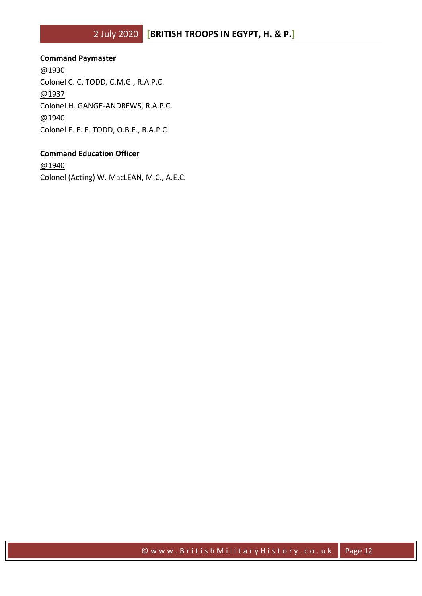#### **Command Paymaster**

@1930 Colonel C. C. TODD, C.M.G., R.A.P.C. @1937 Colonel H. GANGE-ANDREWS, R.A.P.C. @1940 Colonel E. E. E. TODD, O.B.E., R.A.P.C.

### **Command Education Officer**

@1940 Colonel (Acting) W. MacLEAN, M.C., A.E.C.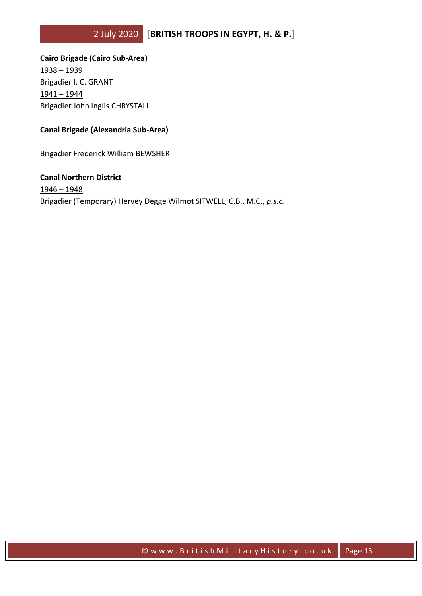**Cairo Brigade (Cairo Sub-Area)** 1938 – 1939 Brigadier I. C. GRANT 1941 – 1944 Brigadier John Inglis CHRYSTALL

#### **Canal Brigade (Alexandria Sub-Area)**

Brigadier Frederick William BEWSHER

**Canal Northern District** 1946 – 1948 Brigadier (Temporary) Hervey Degge Wilmot SITWELL, C.B., M.C., *p.s.c.*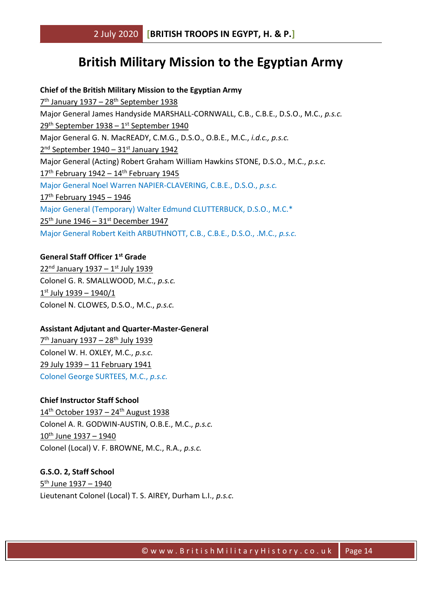# **British Military Mission to the Egyptian Army**

#### **Chief of the British Military Mission to the Egyptian Army**

7<sup>th</sup> January 1937 – 28<sup>th</sup> September 1938 Major General James Handyside MARSHALL-CORNWALL, C.B., C.B.E., D.S.O., M.C., *p.s.c.* 29<sup>th</sup> September 1938 – 1st September 1940 Major General G. N. MacREADY, C.M.G., D.S.O., O.B.E., M.C., *i.d.c., p.s.c.* 2<sup>nd</sup> September 1940 - 31<sup>st</sup> January 1942 Major General (Acting) Robert Graham William Hawkins STONE, D.S.O., M.C., *p.s.c.*  $17<sup>th</sup>$  February 1942 –  $14<sup>th</sup>$  February 1945 Major General Noel Warren NAPIER-CLAVERING, C.B.E., D.S.O., *p.s.c.*  $17<sup>th</sup>$  February 1945 - 1946 Major General (Temporary) Walter Edmund CLUTTERBUCK, D.S.O., M.C.\*  $25<sup>th</sup>$  June 1946 – 31st December 1947 Major General Robert Keith ARBUTHNOTT, C.B., C.B.E., D.S.O., .M.C., *p.s.c.*

#### **General Staff Officer 1st Grade**

22<sup>nd</sup> January 1937 - 1st July 1939 Colonel G. R. SMALLWOOD, M.C., *p.s.c.* 1 st July 1939 – 1940/1 Colonel N. CLOWES, D.S.O., M.C., *p.s.c.*

#### **Assistant Adjutant and Quarter-Master-General**

7<sup>th</sup> January 1937 - 28<sup>th</sup> July 1939 Colonel W. H. OXLEY, M.C., *p.s.c.* 29 July 1939 – 11 February 1941 Colonel George SURTEES, M.C., *p.s.c.*

#### **Chief Instructor Staff School**

14<sup>th</sup> October 1937 - 24<sup>th</sup> August 1938 Colonel A. R. GODWIN-AUSTIN, O.B.E., M.C., *p.s.c.*  $10^{th}$  June  $1937 - 1940$ Colonel (Local) V. F. BROWNE, M.C., R.A., *p.s.c.*

### **G.S.O. 2, Staff School** <u>5<sup>th</sup> June 1937 – 1940</u> Lieutenant Colonel (Local) T. S. AIREY, Durham L.I., *p.s.c.*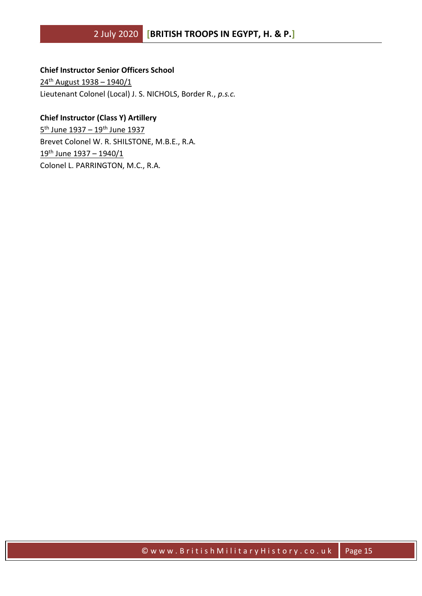#### **Chief Instructor Senior Officers School**

24th August 1938 – 1940/1 Lieutenant Colonel (Local) J. S. NICHOLS, Border R., *p.s.c.*

#### **Chief Instructor (Class Y) Artillery**

<u>5<sup>th</sup> June 1937 – 19<sup>th</sup> June 1937</u> Brevet Colonel W. R. SHILSTONE, M.B.E., R.A. 19th June 1937 – 1940/1 Colonel L. PARRINGTON, M.C., R.A.